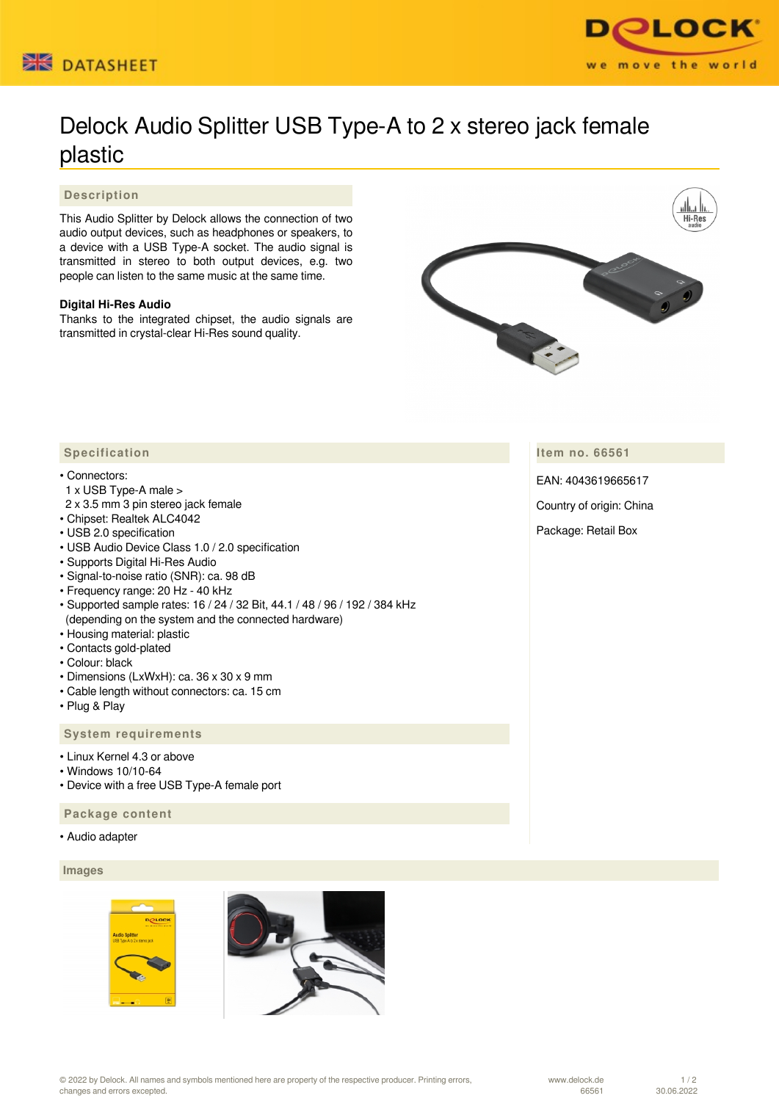



# Delock Audio Splitter USB Type-A to 2 x stereo jack female plastic

## **Description**

This Audio Splitter by Delock allows the connection of two audio output devices, such as headphones or speakers, to a device with a USB Type-A socket. The audio signal is transmitted in stereo to both output devices, e.g. two people can listen to the same music at the same time.

## **Digital Hi-Res Audio**

Thanks to the integrated chipset, the audio signals are transmitted in crystal-clear Hi-Res sound quality.



**Item no. 66561**

EAN: 4043619665617

Country of origin: China

Package: Retail Box

# **Specification**

#### • Connectors:

- 1 x USB Type-A male >
- 2 x 3.5 mm 3 pin stereo jack female
- Chipset: Realtek ALC4042
- USB 2.0 specification
- USB Audio Device Class 1.0 / 2.0 specification
- Supports Digital Hi-Res Audio
- Signal-to-noise ratio (SNR): ca. 98 dB
- Frequency range: 20 Hz 40 kHz
- Supported sample rates: 16 / 24 / 32 Bit, 44.1 / 48 / 96 / 192 / 384 kHz (depending on the system and the connected hardware)
- Housing material: plastic
- Contacts gold-plated
- Colour: black
- Dimensions (LxWxH): ca. 36 x 30 x 9 mm
- Cable length without connectors: ca. 15 cm
- Plug & Play

### **System requirements**

- Linux Kernel 4.3 or above
- Windows 10/10-64
- Device with a free USB Type-A female port

## **Package content**

• Audio adapter

# **Images**